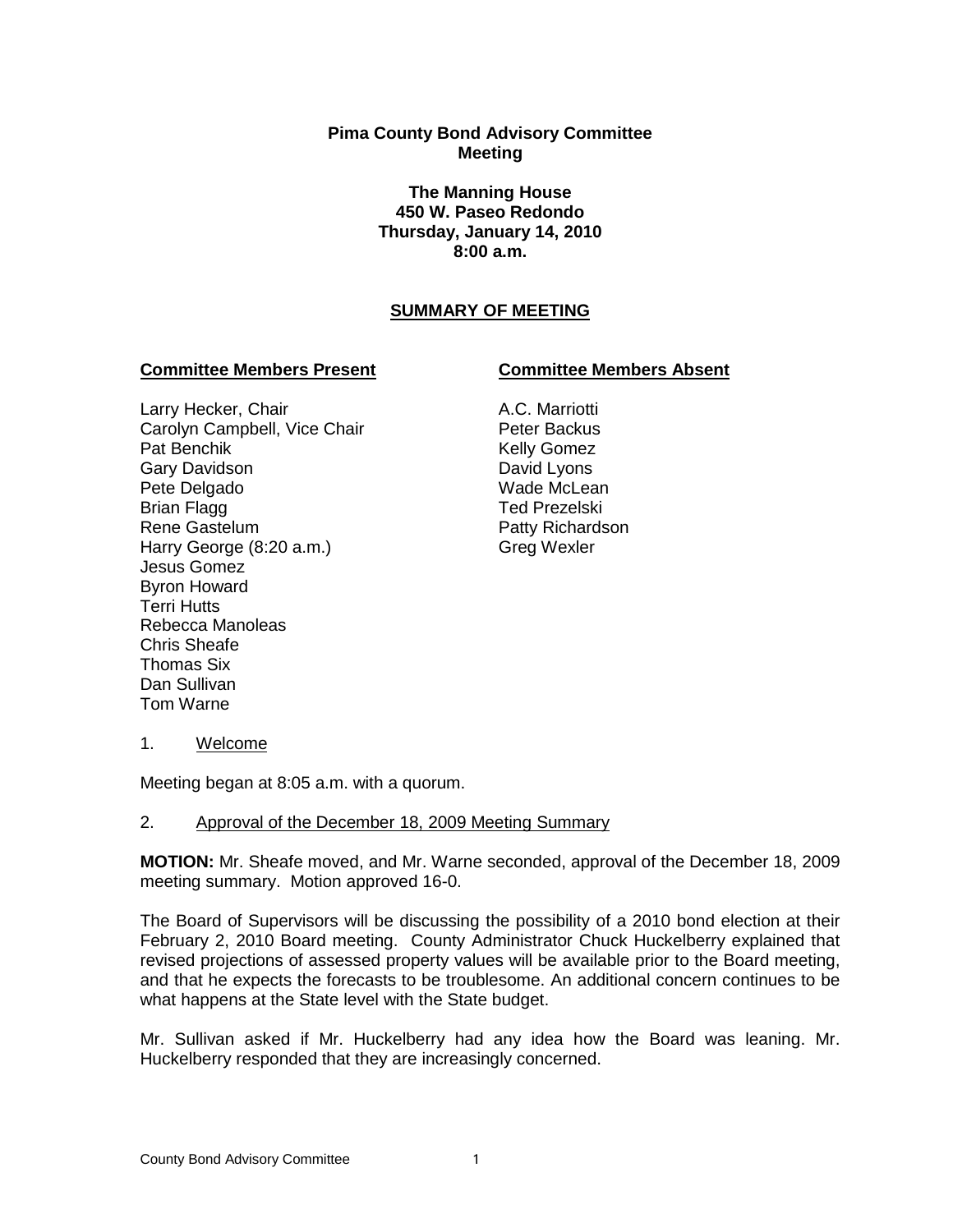## **Pima County Bond Advisory Committee Meeting**

**The Manning House 450 W. Paseo Redondo Thursday, January 14, 2010 8:00 a.m.**

## **SUMMARY OF MEETING**

#### **Committee Members Present Committee Members Absent**

#### Larry Hecker, Chair Carolyn Campbell, Vice Chair Pat Benchik Gary Davidson Pete Delgado Brian Flagg Rene Gastelum Harry George (8:20 a.m.) Jesus Gomez Byron Howard Terri Hutts Rebecca Manoleas Chris Sheafe Thomas Six Dan Sullivan Tom Warne

# A.C. Marriotti

Peter Backus Kelly Gomez David Lyons Wade McLean Ted Prezelski Patty Richardson Greg Wexler

1. Welcome

Meeting began at 8:05 a.m. with a quorum.

## 2. Approval of the December 18, 2009 Meeting Summary

**MOTION:** Mr. Sheafe moved, and Mr. Warne seconded, approval of the December 18, 2009 meeting summary. Motion approved 16-0.

The Board of Supervisors will be discussing the possibility of a 2010 bond election at their February 2, 2010 Board meeting. County Administrator Chuck Huckelberry explained that revised projections of assessed property values will be available prior to the Board meeting, and that he expects the forecasts to be troublesome. An additional concern continues to be what happens at the State level with the State budget.

Mr. Sullivan asked if Mr. Huckelberry had any idea how the Board was leaning. Mr. Huckelberry responded that they are increasingly concerned.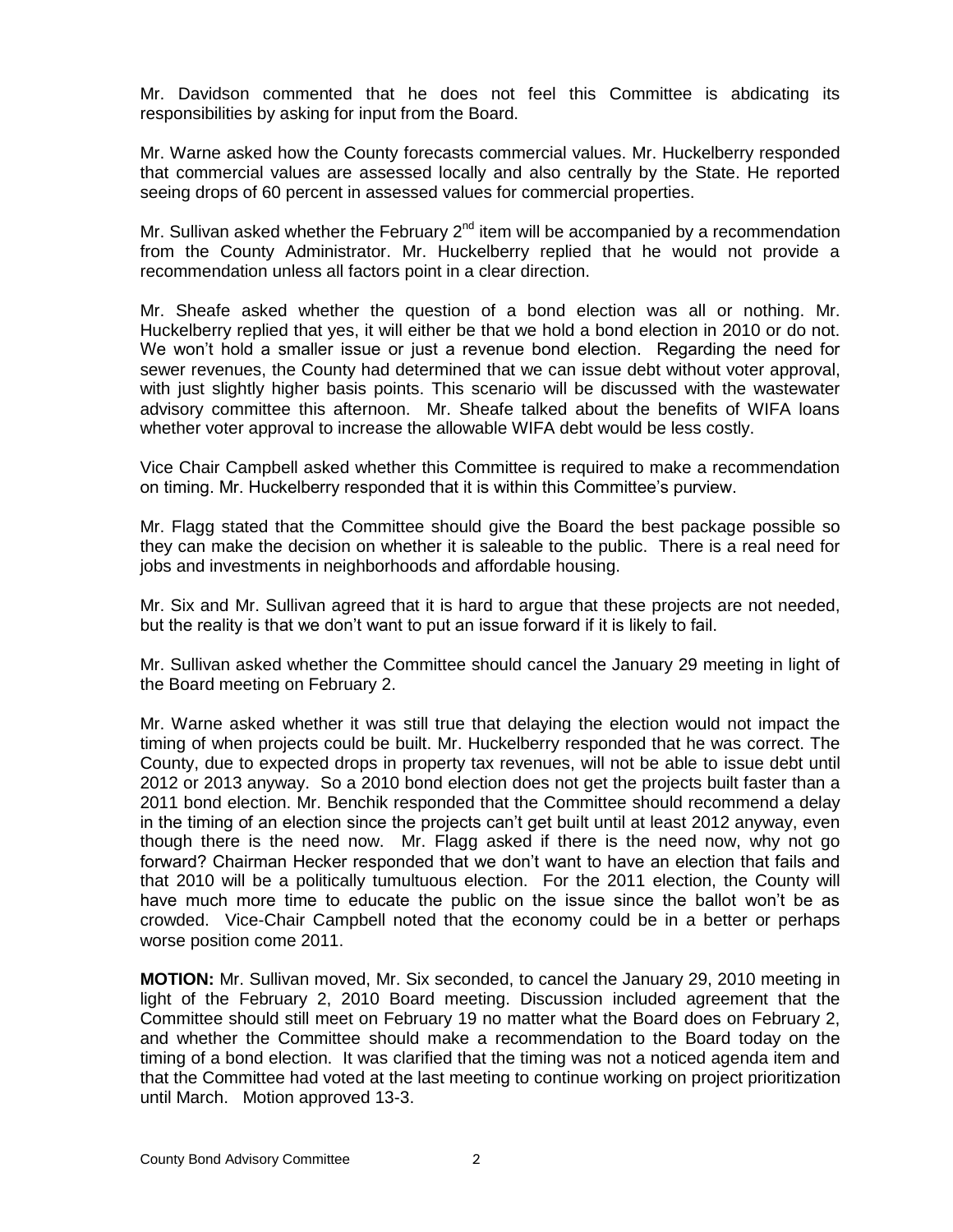Mr. Davidson commented that he does not feel this Committee is abdicating its responsibilities by asking for input from the Board.

Mr. Warne asked how the County forecasts commercial values. Mr. Huckelberry responded that commercial values are assessed locally and also centrally by the State. He reported seeing drops of 60 percent in assessed values for commercial properties.

Mr. Sullivan asked whether the February  $2<sup>nd</sup>$  item will be accompanied by a recommendation from the County Administrator. Mr. Huckelberry replied that he would not provide a recommendation unless all factors point in a clear direction.

Mr. Sheafe asked whether the question of a bond election was all or nothing. Mr. Huckelberry replied that yes, it will either be that we hold a bond election in 2010 or do not. We won't hold a smaller issue or just a revenue bond election. Regarding the need for sewer revenues, the County had determined that we can issue debt without voter approval, with just slightly higher basis points. This scenario will be discussed with the wastewater advisory committee this afternoon. Mr. Sheafe talked about the benefits of WIFA loans whether voter approval to increase the allowable WIFA debt would be less costly.

Vice Chair Campbell asked whether this Committee is required to make a recommendation on timing. Mr. Huckelberry responded that it is within this Committee's purview.

Mr. Flagg stated that the Committee should give the Board the best package possible so they can make the decision on whether it is saleable to the public. There is a real need for jobs and investments in neighborhoods and affordable housing.

Mr. Six and Mr. Sullivan agreed that it is hard to argue that these projects are not needed, but the reality is that we don't want to put an issue forward if it is likely to fail.

Mr. Sullivan asked whether the Committee should cancel the January 29 meeting in light of the Board meeting on February 2.

Mr. Warne asked whether it was still true that delaying the election would not impact the timing of when projects could be built. Mr. Huckelberry responded that he was correct. The County, due to expected drops in property tax revenues, will not be able to issue debt until 2012 or 2013 anyway. So a 2010 bond election does not get the projects built faster than a 2011 bond election. Mr. Benchik responded that the Committee should recommend a delay in the timing of an election since the projects can't get built until at least 2012 anyway, even though there is the need now. Mr. Flagg asked if there is the need now, why not go forward? Chairman Hecker responded that we don't want to have an election that fails and that 2010 will be a politically tumultuous election. For the 2011 election, the County will have much more time to educate the public on the issue since the ballot won't be as crowded. Vice-Chair Campbell noted that the economy could be in a better or perhaps worse position come 2011.

**MOTION:** Mr. Sullivan moved, Mr. Six seconded, to cancel the January 29, 2010 meeting in light of the February 2, 2010 Board meeting. Discussion included agreement that the Committee should still meet on February 19 no matter what the Board does on February 2, and whether the Committee should make a recommendation to the Board today on the timing of a bond election. It was clarified that the timing was not a noticed agenda item and that the Committee had voted at the last meeting to continue working on project prioritization until March. Motion approved 13-3.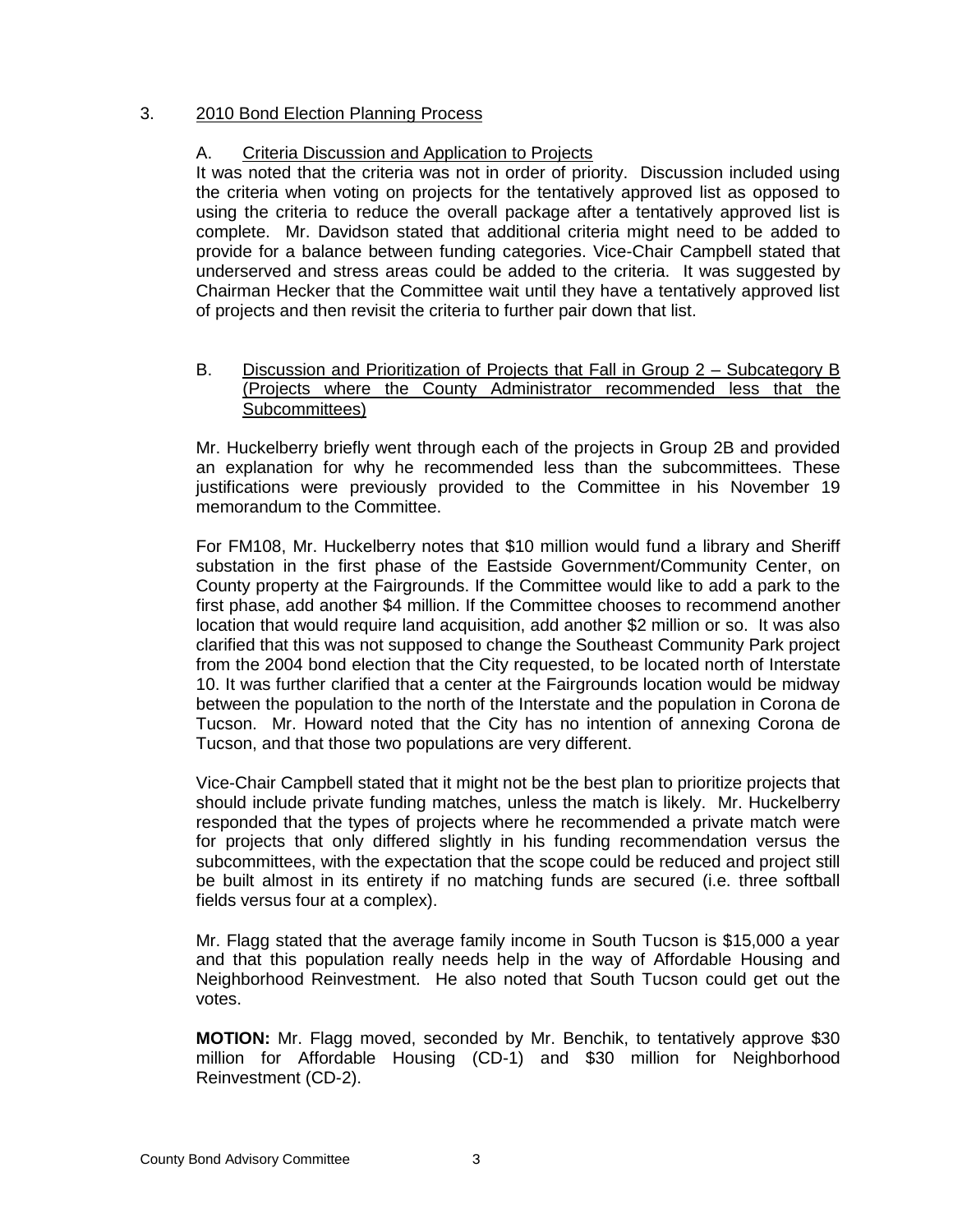## 3. 2010 Bond Election Planning Process

## A. Criteria Discussion and Application to Projects

It was noted that the criteria was not in order of priority. Discussion included using the criteria when voting on projects for the tentatively approved list as opposed to using the criteria to reduce the overall package after a tentatively approved list is complete. Mr. Davidson stated that additional criteria might need to be added to provide for a balance between funding categories. Vice-Chair Campbell stated that underserved and stress areas could be added to the criteria. It was suggested by Chairman Hecker that the Committee wait until they have a tentatively approved list of projects and then revisit the criteria to further pair down that list.

## B. Discussion and Prioritization of Projects that Fall in Group 2 – Subcategory B (Projects where the County Administrator recommended less that the Subcommittees)

Mr. Huckelberry briefly went through each of the projects in Group 2B and provided an explanation for why he recommended less than the subcommittees. These justifications were previously provided to the Committee in his November 19 memorandum to the Committee.

For FM108, Mr. Huckelberry notes that \$10 million would fund a library and Sheriff substation in the first phase of the Eastside Government/Community Center, on County property at the Fairgrounds. If the Committee would like to add a park to the first phase, add another \$4 million. If the Committee chooses to recommend another location that would require land acquisition, add another \$2 million or so. It was also clarified that this was not supposed to change the Southeast Community Park project from the 2004 bond election that the City requested, to be located north of Interstate 10. It was further clarified that a center at the Fairgrounds location would be midway between the population to the north of the Interstate and the population in Corona de Tucson. Mr. Howard noted that the City has no intention of annexing Corona de Tucson, and that those two populations are very different.

Vice-Chair Campbell stated that it might not be the best plan to prioritize projects that should include private funding matches, unless the match is likely. Mr. Huckelberry responded that the types of projects where he recommended a private match were for projects that only differed slightly in his funding recommendation versus the subcommittees, with the expectation that the scope could be reduced and project still be built almost in its entirety if no matching funds are secured (i.e. three softball fields versus four at a complex).

Mr. Flagg stated that the average family income in South Tucson is \$15,000 a year and that this population really needs help in the way of Affordable Housing and Neighborhood Reinvestment. He also noted that South Tucson could get out the votes.

**MOTION:** Mr. Flagg moved, seconded by Mr. Benchik, to tentatively approve \$30 million for Affordable Housing (CD-1) and \$30 million for Neighborhood Reinvestment (CD-2).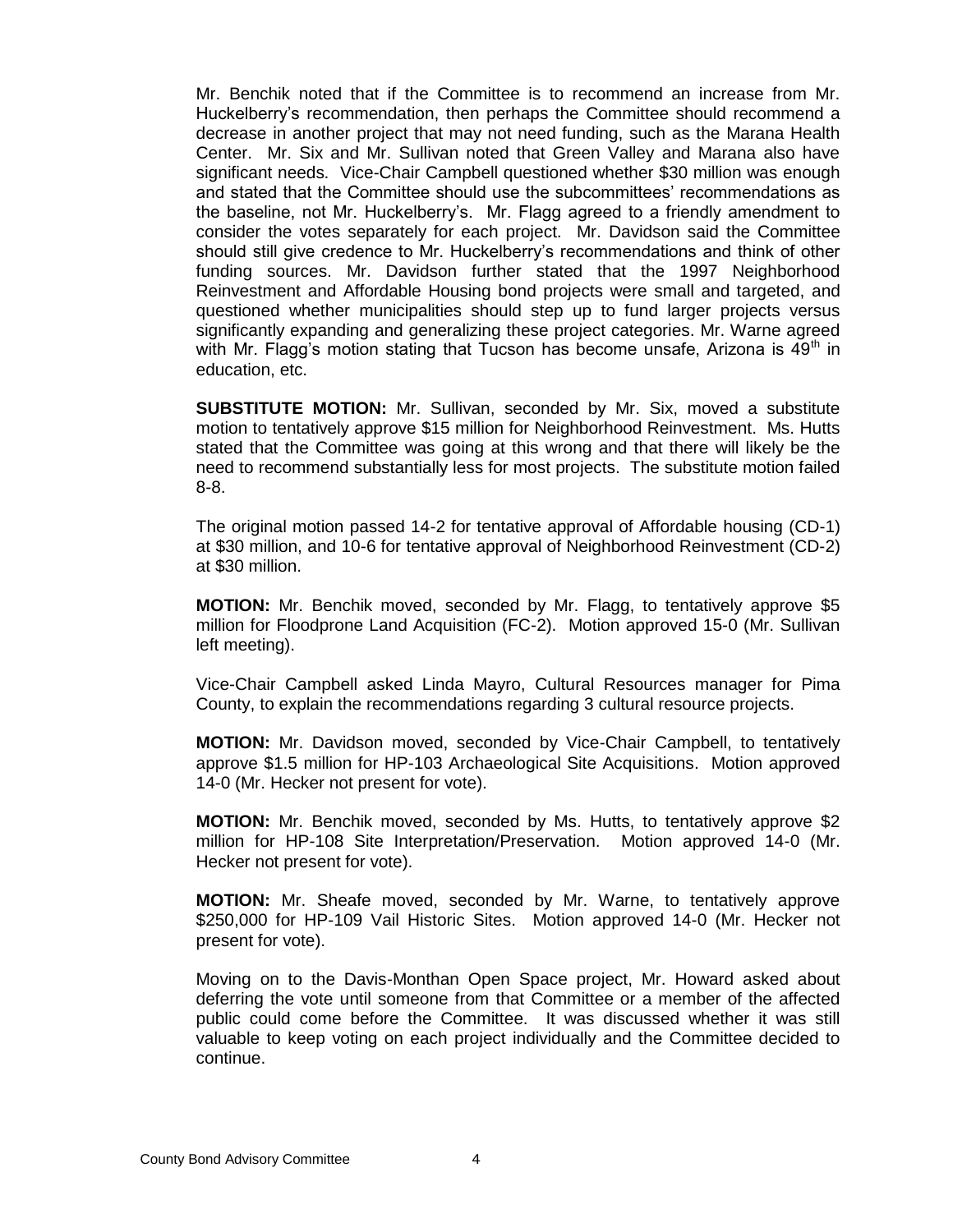Mr. Benchik noted that if the Committee is to recommend an increase from Mr. Huckelberry's recommendation, then perhaps the Committee should recommend a decrease in another project that may not need funding, such as the Marana Health Center. Mr. Six and Mr. Sullivan noted that Green Valley and Marana also have significant needs. Vice-Chair Campbell questioned whether \$30 million was enough and stated that the Committee should use the subcommittees' recommendations as the baseline, not Mr. Huckelberry's. Mr. Flagg agreed to a friendly amendment to consider the votes separately for each project. Mr. Davidson said the Committee should still give credence to Mr. Huckelberry's recommendations and think of other funding sources. Mr. Davidson further stated that the 1997 Neighborhood Reinvestment and Affordable Housing bond projects were small and targeted, and questioned whether municipalities should step up to fund larger projects versus significantly expanding and generalizing these project categories. Mr. Warne agreed with Mr. Flagg's motion stating that Tucson has become unsafe, Arizona is  $49<sup>th</sup>$  in education, etc.

**SUBSTITUTE MOTION:** Mr. Sullivan, seconded by Mr. Six, moved a substitute motion to tentatively approve \$15 million for Neighborhood Reinvestment. Ms. Hutts stated that the Committee was going at this wrong and that there will likely be the need to recommend substantially less for most projects. The substitute motion failed 8-8.

The original motion passed 14-2 for tentative approval of Affordable housing (CD-1) at \$30 million, and 10-6 for tentative approval of Neighborhood Reinvestment (CD-2) at \$30 million.

**MOTION:** Mr. Benchik moved, seconded by Mr. Flagg, to tentatively approve \$5 million for Floodprone Land Acquisition (FC-2). Motion approved 15-0 (Mr. Sullivan left meeting).

Vice-Chair Campbell asked Linda Mayro, Cultural Resources manager for Pima County, to explain the recommendations regarding 3 cultural resource projects.

**MOTION:** Mr. Davidson moved, seconded by Vice-Chair Campbell, to tentatively approve \$1.5 million for HP-103 Archaeological Site Acquisitions. Motion approved 14-0 (Mr. Hecker not present for vote).

**MOTION:** Mr. Benchik moved, seconded by Ms. Hutts, to tentatively approve \$2 million for HP-108 Site Interpretation/Preservation. Motion approved 14-0 (Mr. Hecker not present for vote).

**MOTION:** Mr. Sheafe moved, seconded by Mr. Warne, to tentatively approve \$250,000 for HP-109 Vail Historic Sites. Motion approved 14-0 (Mr. Hecker not present for vote).

Moving on to the Davis-Monthan Open Space project, Mr. Howard asked about deferring the vote until someone from that Committee or a member of the affected public could come before the Committee. It was discussed whether it was still valuable to keep voting on each project individually and the Committee decided to continue.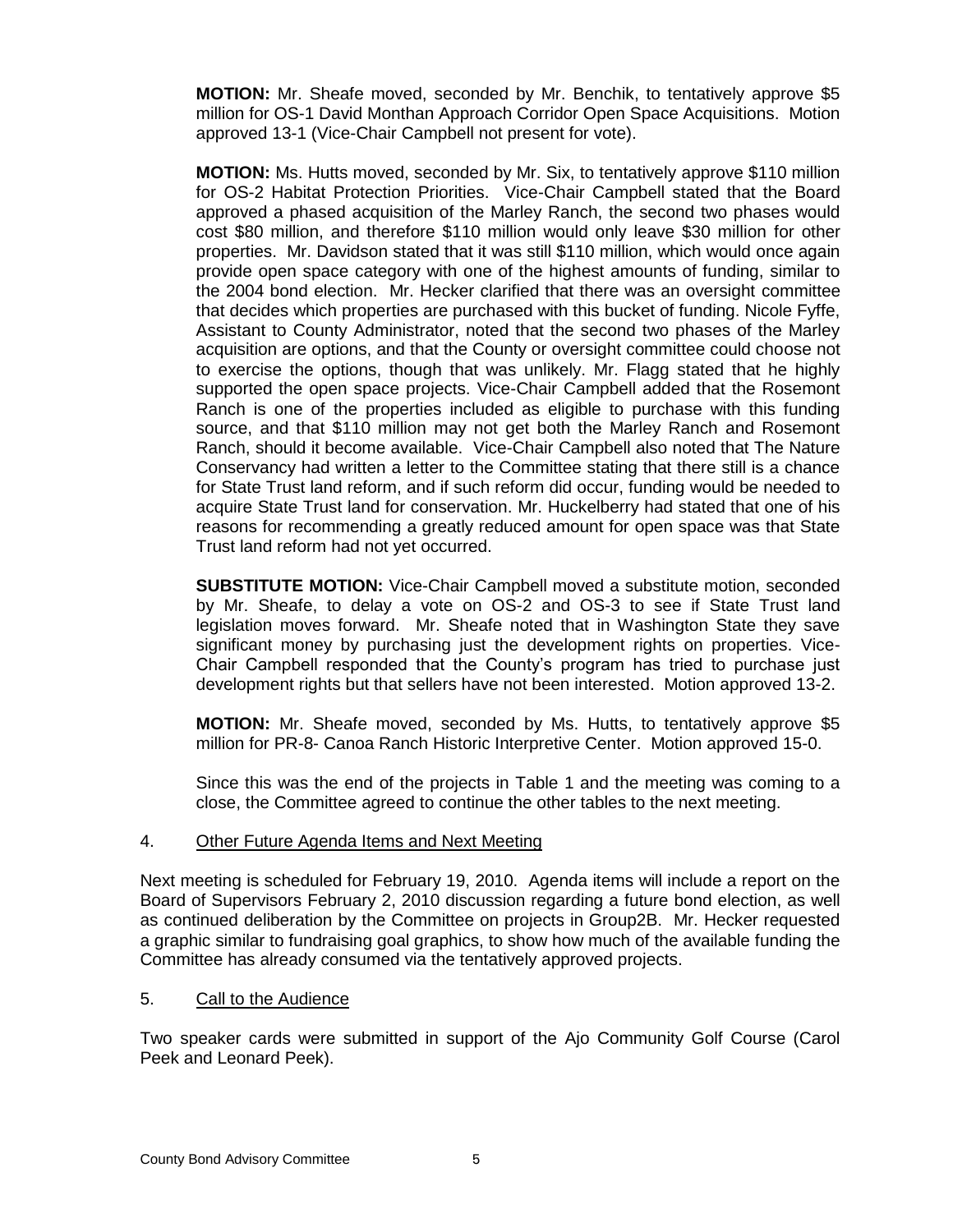**MOTION:** Mr. Sheafe moved, seconded by Mr. Benchik, to tentatively approve \$5 million for OS-1 David Monthan Approach Corridor Open Space Acquisitions. Motion approved 13-1 (Vice-Chair Campbell not present for vote).

**MOTION:** Ms. Hutts moved, seconded by Mr. Six, to tentatively approve \$110 million for OS-2 Habitat Protection Priorities. Vice-Chair Campbell stated that the Board approved a phased acquisition of the Marley Ranch, the second two phases would cost \$80 million, and therefore \$110 million would only leave \$30 million for other properties. Mr. Davidson stated that it was still \$110 million, which would once again provide open space category with one of the highest amounts of funding, similar to the 2004 bond election. Mr. Hecker clarified that there was an oversight committee that decides which properties are purchased with this bucket of funding. Nicole Fyffe, Assistant to County Administrator, noted that the second two phases of the Marley acquisition are options, and that the County or oversight committee could choose not to exercise the options, though that was unlikely. Mr. Flagg stated that he highly supported the open space projects. Vice-Chair Campbell added that the Rosemont Ranch is one of the properties included as eligible to purchase with this funding source, and that \$110 million may not get both the Marley Ranch and Rosemont Ranch, should it become available. Vice-Chair Campbell also noted that The Nature Conservancy had written a letter to the Committee stating that there still is a chance for State Trust land reform, and if such reform did occur, funding would be needed to acquire State Trust land for conservation. Mr. Huckelberry had stated that one of his reasons for recommending a greatly reduced amount for open space was that State Trust land reform had not yet occurred.

**SUBSTITUTE MOTION:** Vice-Chair Campbell moved a substitute motion, seconded by Mr. Sheafe, to delay a vote on OS-2 and OS-3 to see if State Trust land legislation moves forward. Mr. Sheafe noted that in Washington State they save significant money by purchasing just the development rights on properties. Vice-Chair Campbell responded that the County's program has tried to purchase just development rights but that sellers have not been interested. Motion approved 13-2.

**MOTION:** Mr. Sheafe moved, seconded by Ms. Hutts, to tentatively approve \$5 million for PR-8- Canoa Ranch Historic Interpretive Center. Motion approved 15-0.

Since this was the end of the projects in Table 1 and the meeting was coming to a close, the Committee agreed to continue the other tables to the next meeting.

## 4. Other Future Agenda Items and Next Meeting

Next meeting is scheduled for February 19, 2010. Agenda items will include a report on the Board of Supervisors February 2, 2010 discussion regarding a future bond election, as well as continued deliberation by the Committee on projects in Group2B. Mr. Hecker requested a graphic similar to fundraising goal graphics, to show how much of the available funding the Committee has already consumed via the tentatively approved projects.

#### 5. Call to the Audience

Two speaker cards were submitted in support of the Ajo Community Golf Course (Carol Peek and Leonard Peek).